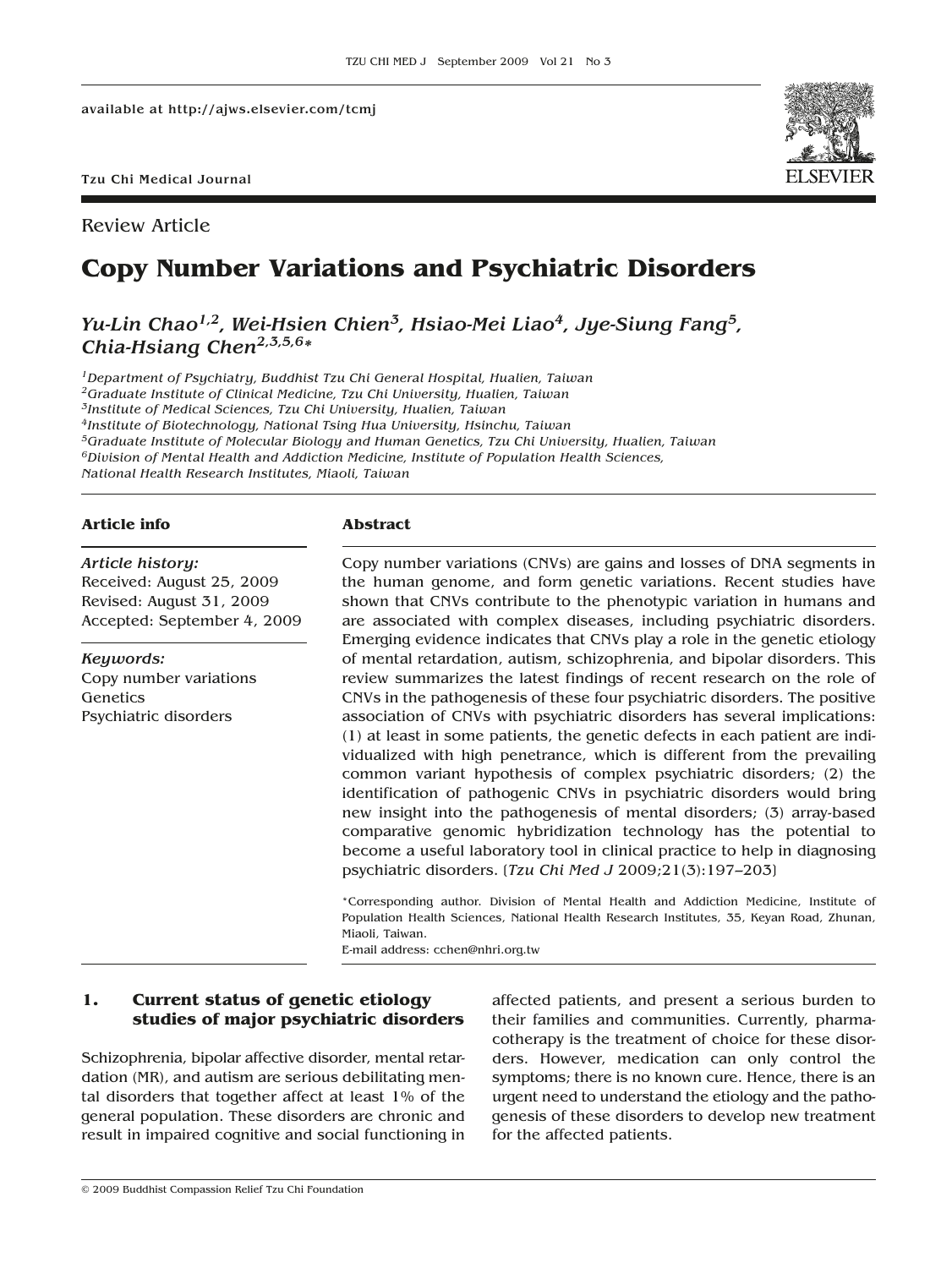available at http://ajws.elsevier.com/tcmj

Tzu Chi Medical Journal

Review Article

# **Copy Number Variations and Psychiatric Disorders**

*Yu-Lin Chao1,2, Wei-Hsien Chien3, Hsiao-Mei Liao4, Jye-Siung Fang5, Chia-Hsiang Chen2,3,5,6\**

*1Department of Psychiatry, Buddhist Tzu Chi General Hospital, Hualien, Taiwan 2Graduate Institute of Clinical Medicine, Tzu Chi University, Hualien, Taiwan 3Institute of Medical Sciences, Tzu Chi University, Hualien, Taiwan 4Institute of Biotechnology, National Tsing Hua University, Hsinchu, Taiwan 5Graduate Institute of Molecular Biology and Human Genetics, Tzu Chi University, Hualien, Taiwan 6Division of Mental Health and Addiction Medicine, Institute of Population Health Sciences, National Health Research Institutes, Miaoli, Taiwan*

#### **Article info**

#### **Abstract**

*Article history:* Received: August 25, 2009 Revised: August 31, 2009 Accepted: September 4, 2009

*Keywords:* Copy number variations **Genetics** Psychiatric disorders

Copy number variations (CNVs) are gains and losses of DNA segments in the human genome, and form genetic variations. Recent studies have shown that CNVs contribute to the phenotypic variation in humans and are associated with complex diseases, including psychiatric disorders. Emerging evidence indicates that CNVs play a role in the genetic etiology of mental retardation, autism, schizophrenia, and bipolar disorders. This review summarizes the latest findings of recent research on the role of CNVs in the pathogenesis of these four psychiatric disorders. The positive association of CNVs with psychiatric disorders has several implications: (1) at least in some patients, the genetic defects in each patient are individualized with high penetrance, which is different from the prevailing common variant hypothesis of complex psychiatric disorders; (2) the identification of pathogenic CNVs in psychiatric disorders would bring new insight into the pathogenesis of mental disorders; (3) array-based comparative genomic hybridization technology has the potential to become a useful laboratory tool in clinical practice to help in diagnosing psychiatric disorders. [*Tzu Chi Med J* 2009;21(3):197–203]

\*Corresponding author. Division of Mental Health and Addiction Medicine, Institute of Population Health Sciences, National Health Research Institutes, 35, Keyan Road, Zhunan, Miaoli, Taiwan.

E-mail address: cchen@nhri.org.tw

# **1. Current status of genetic etiology studies of major psychiatric disorders**

Schizophrenia, bipolar affective disorder, mental retardation (MR), and autism are serious debilitating mental disorders that together affect at least 1% of the general population. These disorders are chronic and result in impaired cognitive and social functioning in

affected patients, and present a serious burden to their families and communities. Currently, pharmacotherapy is the treatment of choice for these disorders. However, medication can only control the symptoms; there is no known cure. Hence, there is an urgent need to understand the etiology and the pathogenesis of these disorders to develop new treatment for the affected patients.

© 2009 Buddhist Compassion Relief Tzu Chi Foundation

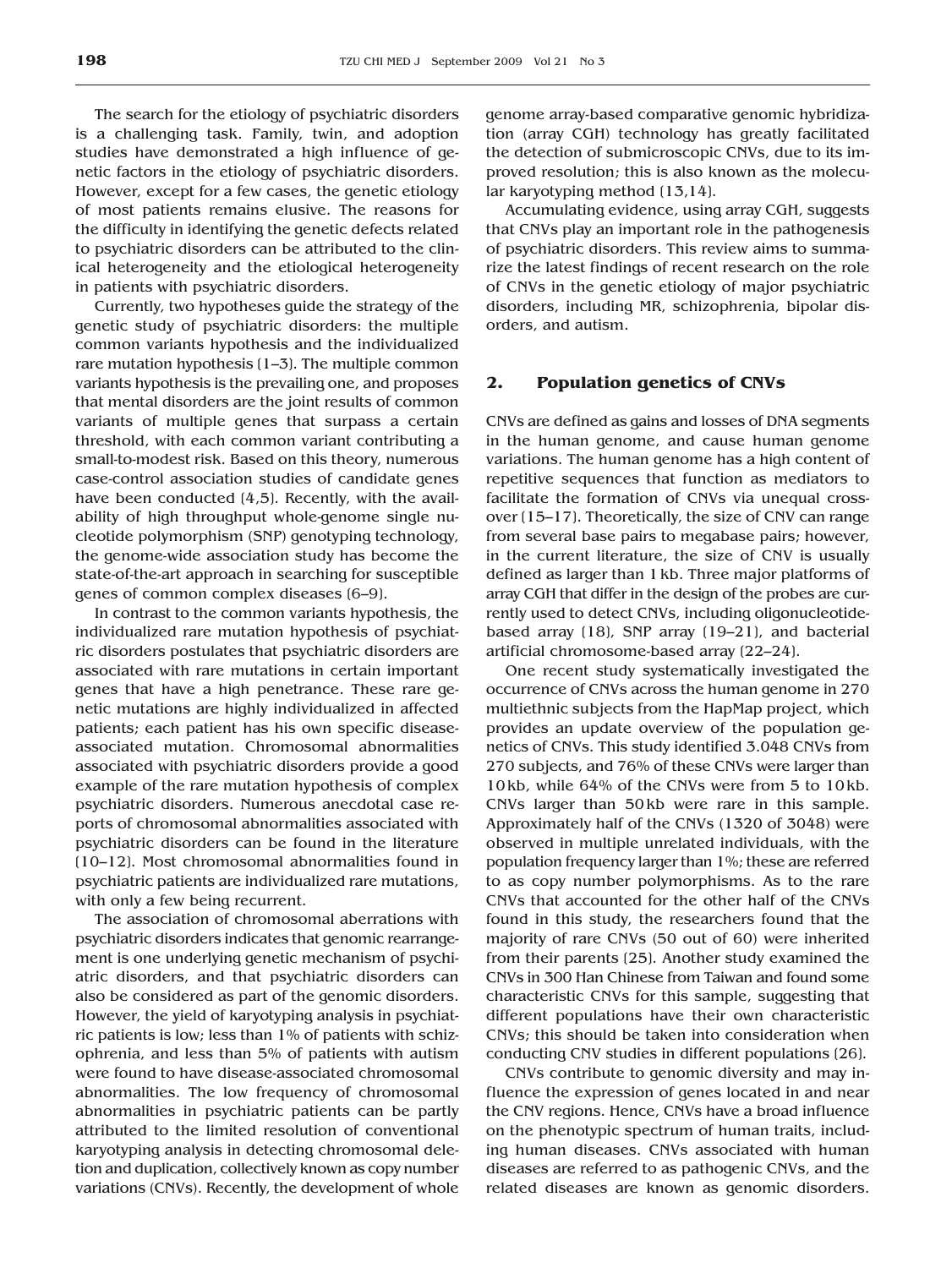The search for the etiology of psychiatric disorders is a challenging task. Family, twin, and adoption studies have demonstrated a high influence of genetic factors in the etiology of psychiatric disorders. However, except for a few cases, the genetic etiology of most patients remains elusive. The reasons for the difficulty in identifying the genetic defects related to psychiatric disorders can be attributed to the clinical heterogeneity and the etiological heterogeneity in patients with psychiatric disorders.

Currently, two hypotheses guide the strategy of the genetic study of psychiatric disorders: the multiple common variants hypothesis and the individualized rare mutation hypothesis [1–3]. The multiple common variants hypothesis is the prevailing one, and proposes that mental disorders are the joint results of common variants of multiple genes that surpass a certain threshold, with each common variant contributing a small-to-modest risk. Based on this theory, numerous case-control association studies of candidate genes have been conducted (4,5). Recently, with the availability of high throughput whole-genome single nucleotide polymorphism (SNP) genotyping technology, the genome-wide association study has become the state-of-the-art approach in searching for susceptible genes of common complex diseases [6–9].

In contrast to the common variants hypothesis, the individualized rare mutation hypothesis of psychiatric disorders postulates that psychiatric disorders are associated with rare mutations in certain important genes that have a high penetrance. These rare genetic mutations are highly individualized in affected patients; each patient has his own specific diseaseassociated mutation. Chromosomal abnormalities associated with psychiatric disorders provide a good example of the rare mutation hypothesis of complex psychiatric disorders. Numerous anecdotal case reports of chromosomal abnormalities associated with psychiatric disorders can be found in the literature [10–12]. Most chromosomal abnormalities found in psychiatric patients are individualized rare mutations, with only a few being recurrent.

The association of chromosomal aberrations with psychiatric disorders indicates that genomic rearrangement is one underlying genetic mechanism of psychiatric disorders, and that psychiatric disorders can also be considered as part of the genomic disorders. However, the yield of karyotyping analysis in psychiatric patients is low; less than 1% of patients with schizophrenia, and less than 5% of patients with autism were found to have disease-associated chromosomal abnormalities. The low frequency of chromosomal abnormalities in psychiatric patients can be partly attributed to the limited resolution of conventional karyotyping analysis in detecting chromosomal deletion and duplication, collectively known as copy number variations (CNVs). Recently, the development of whole genome array-based comparative genomic hybridization (array CGH) technology has greatly facilitated the detection of submicroscopic CNVs, due to its improved resolution; this is also known as the molecular karyotyping method [13,14].

Accumulating evidence, using array CGH, suggests that CNVs play an important role in the pathogenesis of psychiatric disorders. This review aims to summarize the latest findings of recent research on the role of CNVs in the genetic etiology of major psychiatric disorders, including MR, schizophrenia, bipolar disorders, and autism.

#### **2. Population genetics of CNVs**

CNVs are defined as gains and losses of DNA segments in the human genome, and cause human genome variations. The human genome has a high content of repetitive sequences that function as mediators to facilitate the formation of CNVs via unequal crossover [15–17]. Theoretically, the size of CNV can range from several base pairs to megabase pairs; however, in the current literature, the size of CNV is usually defined as larger than 1 kb. Three major platforms of array CGH that differ in the design of the probes are currently used to detect CNVs, including oligonucleotidebased array [18], SNP array [19–21], and bacterial artificial chromosome-based array [22–24].

One recent study systematically investigated the occurrence of CNVs across the human genome in 270 multiethnic subjects from the HapMap project, which provides an update overview of the population genetics of CNVs. This study identified 3.048 CNVs from 270 subjects, and 76% of these CNVs were larger than 10 kb, while 64% of the CNVs were from 5 to 10 kb. CNVs larger than 50 kb were rare in this sample. Approximately half of the CNVs (1320 of 3048) were observed in multiple unrelated individuals, with the population frequency larger than 1%; these are referred to as copy number polymorphisms. As to the rare CNVs that accounted for the other half of the CNVs found in this study, the researchers found that the majority of rare CNVs (50 out of 60) were inherited from their parents [25]. Another study examined the CNVs in 300 Han Chinese from Taiwan and found some characteristic CNVs for this sample, suggesting that different populations have their own characteristic CNVs; this should be taken into consideration when conducting CNV studies in different populations [26].

CNVs contribute to genomic diversity and may influence the expression of genes located in and near the CNV regions. Hence, CNVs have a broad influence on the phenotypic spectrum of human traits, including human diseases. CNVs associated with human diseases are referred to as pathogenic CNVs, and the related diseases are known as genomic disorders.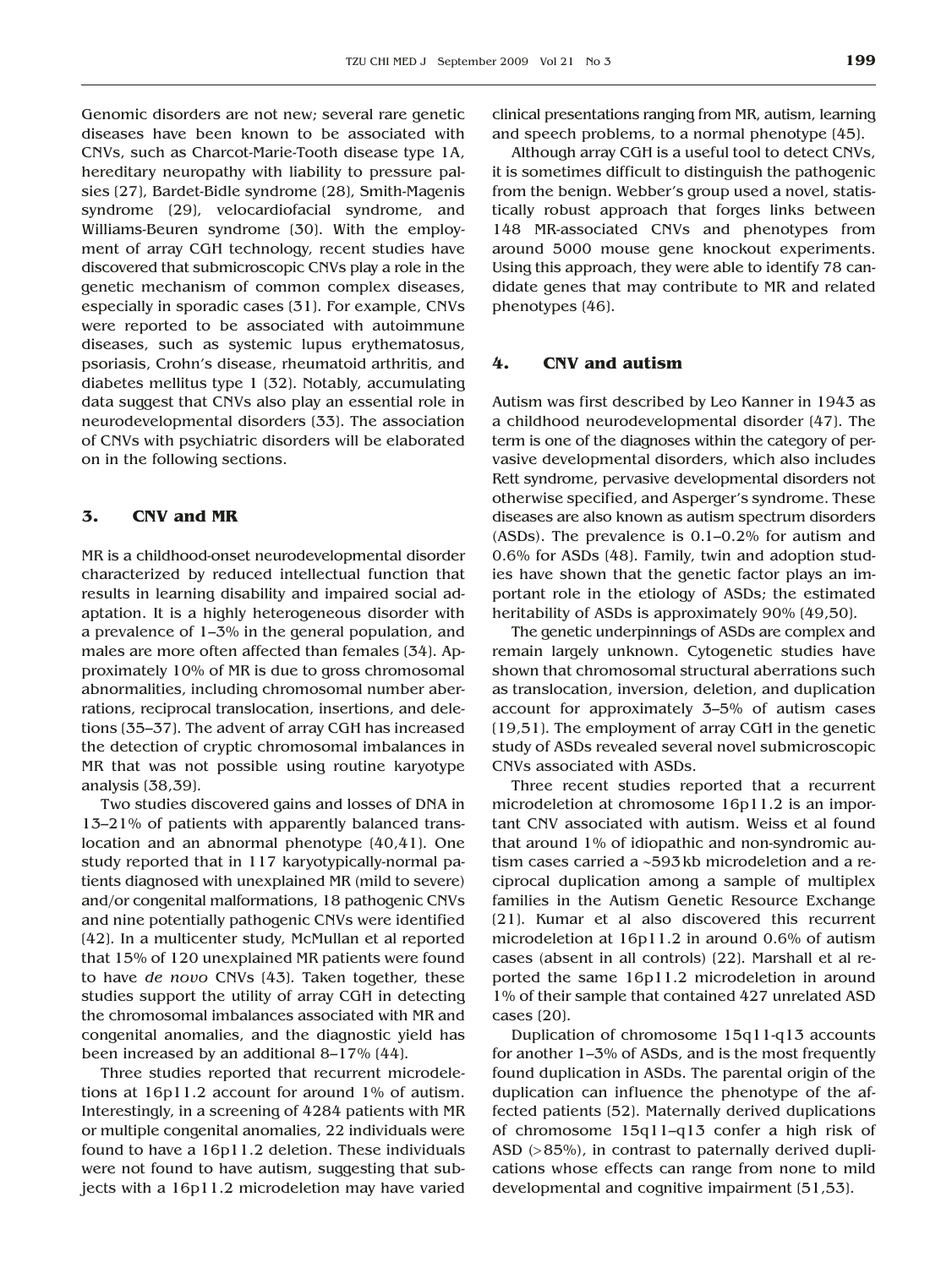Genomic disorders are not new; several rare genetic diseases have been known to be associated with CNVs, such as Charcot-Marie-Tooth disease type 1A, hereditary neuropathy with liability to pressure palsies [27], Bardet-Bidle syndrome [28], Smith-Magenis syndrome (29), velocardiofacial syndrome, and Williams-Beuren syndrome (30). With the employment of array CGH technology, recent studies have discovered that submicroscopic CNVs play a role in the genetic mechanism of common complex diseases, especially in sporadic cases [31]. For example, CNVs were reported to be associated with autoimmune diseases, such as systemic lupus erythematosus, psoriasis, Crohn's disease, rheumatoid arthritis, and diabetes mellitus type 1 [32]. Notably, accumulating data suggest that CNVs also play an essential role in neurodevelopmental disorders [33]. The association of CNVs with psychiatric disorders will be elaborated on in the following sections.

### **3. CNV and MR**

MR is a childhood-onset neurodevelopmental disorder characterized by reduced intellectual function that results in learning disability and impaired social adaptation. It is a highly heterogeneous disorder with a prevalence of 1–3% in the general population, and males are more often affected than females [34]. Approximately 10% of MR is due to gross chromosomal abnormalities, including chromosomal number aberrations, reciprocal translocation, insertions, and deletions [35–37]. The advent of array CGH has increased the detection of cryptic chromosomal imbalances in MR that was not possible using routine karyotype analysis [38,39].

Two studies discovered gains and losses of DNA in 13–21% of patients with apparently balanced translocation and an abnormal phenotype [40,41]. One study reported that in 117 karyotypically-normal patients diagnosed with unexplained MR (mild to severe) and/or congenital malformations, 18 pathogenic CNVs and nine potentially pathogenic CNVs were identified [42]. In a multicenter study, McMullan et al reported that 15% of 120 unexplained MR patients were found to have *de novo* CNVs [43]. Taken together, these studies support the utility of array CGH in detecting the chromosomal imbalances associated with MR and congenital anomalies, and the diagnostic yield has been increased by an additional 8–17% [44].

Three studies reported that recurrent microdeletions at 16p11.2 account for around 1% of autism. Interestingly, in a screening of 4284 patients with MR or multiple congenital anomalies, 22 individuals were found to have a 16p11.2 deletion. These individuals were not found to have autism, suggesting that subjects with a 16p11.2 microdeletion may have varied clinical presentations ranging from MR, autism, learning and speech problems, to a normal phenotype [45].

Although array CGH is a useful tool to detect CNVs, it is sometimes difficult to distinguish the pathogenic from the benign. Webber's group used a novel, statistically robust approach that forges links between 148 MR-associated CNVs and phenotypes from around 5000 mouse gene knockout experiments. Using this approach, they were able to identify 78 candidate genes that may contribute to MR and related phenotypes [46].

#### **4. CNV and autism**

Autism was first described by Leo Kanner in 1943 as a childhood neurodevelopmental disorder [47]. The term is one of the diagnoses within the category of pervasive developmental disorders, which also includes Rett syndrome, pervasive developmental disorders not otherwise specified, and Asperger's syndrome. These diseases are also known as autism spectrum disorders (ASDs). The prevalence is 0.1–0.2% for autism and 0.6% for ASDs [48]. Family, twin and adoption studies have shown that the genetic factor plays an important role in the etiology of ASDs; the estimated heritability of ASDs is approximately 90% [49,50].

The genetic underpinnings of ASDs are complex and remain largely unknown. Cytogenetic studies have shown that chromosomal structural aberrations such as translocation, inversion, deletion, and duplication account for approximately 3–5% of autism cases [19,51]. The employment of array CGH in the genetic study of ASDs revealed several novel submicroscopic CNVs associated with ASDs.

Three recent studies reported that a recurrent microdeletion at chromosome 16p11.2 is an important CNV associated with autism. Weiss et al found that around 1% of idiopathic and non-syndromic autism cases carried a ∼593 kb microdeletion and a reciprocal duplication among a sample of multiplex families in the Autism Genetic Resource Exchange [21]. Kumar et al also discovered this recurrent microdeletion at 16p11.2 in around 0.6% of autism cases (absent in all controls) [22]. Marshall et al reported the same 16p11.2 microdeletion in around 1% of their sample that contained 427 unrelated ASD cases [20].

Duplication of chromosome 15q11-q13 accounts for another 1–3% of ASDs, and is the most frequently found duplication in ASDs. The parental origin of the duplication can influence the phenotype of the affected patients [52]. Maternally derived duplications of chromosome 15q11–q13 confer a high risk of ASD (> 85%), in contrast to paternally derived duplications whose effects can range from none to mild developmental and cognitive impairment [51,53].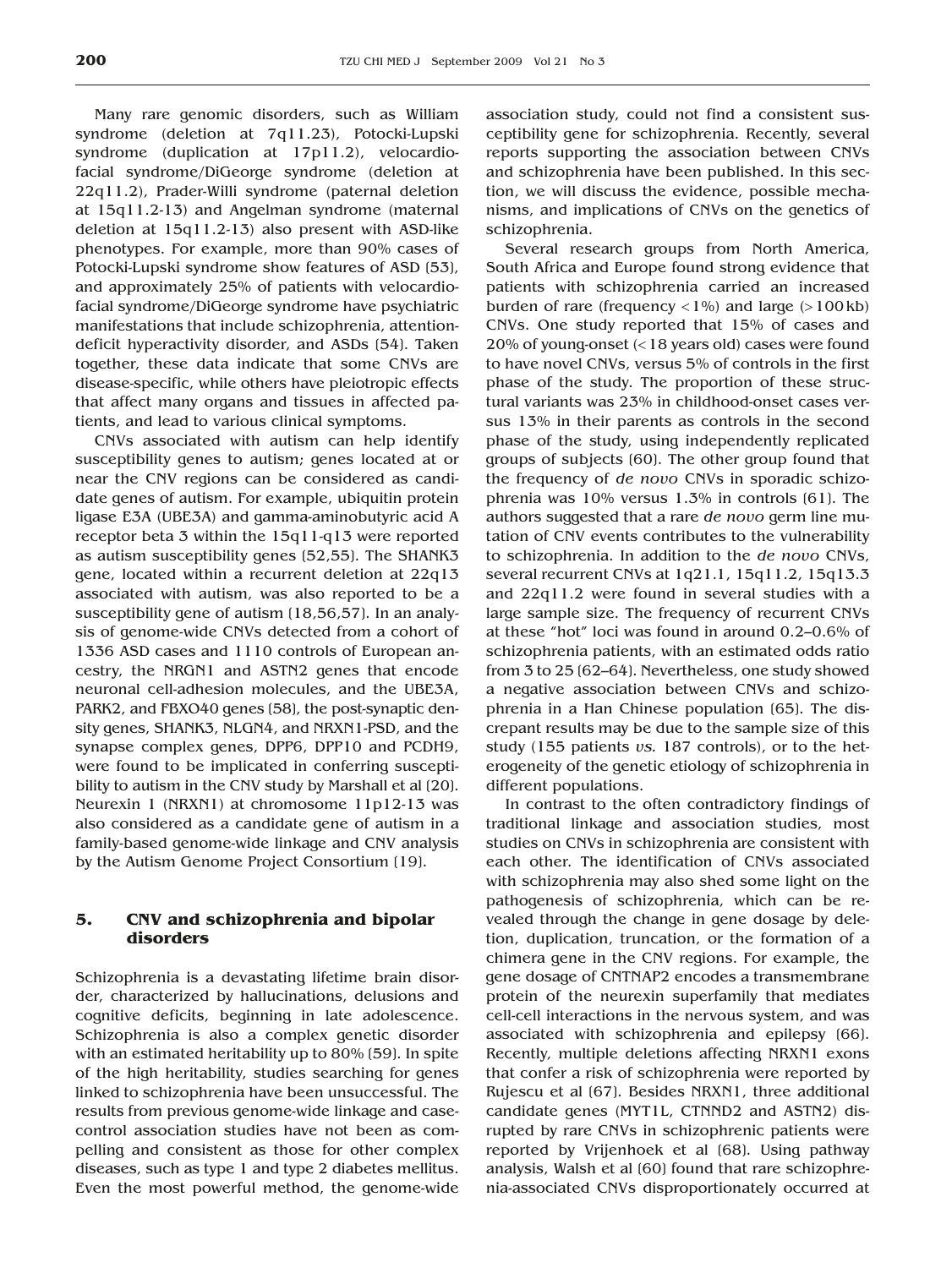Many rare genomic disorders, such as William syndrome (deletion at 7q11.23), Potocki-Lupski syndrome (duplication at 17p11.2), velocardiofacial syndrome/DiGeorge syndrome (deletion at 22q11.2), Prader-Willi syndrome (paternal deletion at 15q11.2-13) and Angelman syndrome (maternal deletion at 15q11.2-13) also present with ASD-like phenotypes. For example, more than 90% cases of Potocki-Lupski syndrome show features of ASD [53], and approximately 25% of patients with velocardiofacial syndrome/DiGeorge syndrome have psychiatric manifestations that include schizophrenia, attentiondeficit hyperactivity disorder, and ASDs [54]. Taken together, these data indicate that some CNVs are disease-specific, while others have pleiotropic effects that affect many organs and tissues in affected patients, and lead to various clinical symptoms.

CNVs associated with autism can help identify susceptibility genes to autism; genes located at or near the CNV regions can be considered as candidate genes of autism. For example, ubiquitin protein ligase E3A (UBE3A) and gamma-aminobutyric acid A receptor beta 3 within the 15q11-q13 were reported as autism susceptibility genes [52,55]. The SHANK3 gene, located within a recurrent deletion at 22q13 associated with autism, was also reported to be a susceptibility gene of autism (18,56,57). In an analysis of genome-wide CNVs detected from a cohort of 1336 ASD cases and 1110 controls of European ancestry, the NRGN1 and ASTN2 genes that encode neuronal cell-adhesion molecules, and the UBE3A, PARK2, and FBXO40 genes (58), the post-synaptic density genes, SHANK3, NLGN4, and NRXN1-PSD, and the synapse complex genes, DPP6, DPP10 and PCDH9, were found to be implicated in conferring susceptibility to autism in the CNV study by Marshall et al [20]. Neurexin 1 (NRXN1) at chromosome 11p12-13 was also considered as a candidate gene of autism in a family-based genome-wide linkage and CNV analysis by the Autism Genome Project Consortium [19].

## **5. CNV and schizophrenia and bipolar disorders**

Schizophrenia is a devastating lifetime brain disorder, characterized by hallucinations, delusions and cognitive deficits, beginning in late adolescence. Schizophrenia is also a complex genetic disorder with an estimated heritability up to 80% [59]. In spite of the high heritability, studies searching for genes linked to schizophrenia have been unsuccessful. The results from previous genome-wide linkage and casecontrol association studies have not been as compelling and consistent as those for other complex diseases, such as type 1 and type 2 diabetes mellitus. Even the most powerful method, the genome-wide association study, could not find a consistent susceptibility gene for schizophrenia. Recently, several reports supporting the association between CNVs and schizophrenia have been published. In this section, we will discuss the evidence, possible mechanisms, and implications of CNVs on the genetics of schizophrenia.

Several research groups from North America, South Africa and Europe found strong evidence that patients with schizophrenia carried an increased burden of rare (frequency  $\langle 1\% \rangle$  and large ( $> 100$  kb) CNVs. One study reported that 15% of cases and 20% of young-onset (< 18 years old) cases were found to have novel CNVs, versus 5% of controls in the first phase of the study. The proportion of these structural variants was 23% in childhood-onset cases versus 13% in their parents as controls in the second phase of the study, using independently replicated groups of subjects [60]. The other group found that the frequency of *de novo* CNVs in sporadic schizophrenia was 10% versus 1.3% in controls [61]. The authors suggested that a rare *de novo* germ line mutation of CNV events contributes to the vulnerability to schizophrenia. In addition to the *de novo* CNVs, several recurrent CNVs at 1q21.1, 15q11.2, 15q13.3 and 22q11.2 were found in several studies with a large sample size. The frequency of recurrent CNVs at these "hot" loci was found in around 0.2–0.6% of schizophrenia patients, with an estimated odds ratio from 3 to 25 [62–64]. Nevertheless, one study showed a negative association between CNVs and schizophrenia in a Han Chinese population [65]. The discrepant results may be due to the sample size of this study (155 patients *vs.* 187 controls), or to the heterogeneity of the genetic etiology of schizophrenia in different populations.

In contrast to the often contradictory findings of traditional linkage and association studies, most studies on CNVs in schizophrenia are consistent with each other. The identification of CNVs associated with schizophrenia may also shed some light on the pathogenesis of schizophrenia, which can be revealed through the change in gene dosage by deletion, duplication, truncation, or the formation of a chimera gene in the CNV regions. For example, the gene dosage of CNTNAP2 encodes a transmembrane protein of the neurexin superfamily that mediates cell-cell interactions in the nervous system, and was associated with schizophrenia and epilepsy [66]. Recently, multiple deletions affecting NRXN1 exons that confer a risk of schizophrenia were reported by Rujescu et al [67]. Besides NRXN1, three additional candidate genes (MYT1L, CTNND2 and ASTN2) disrupted by rare CNVs in schizophrenic patients were reported by Vrijenhoek et al [68]. Using pathway analysis, Walsh et al [60] found that rare schizophrenia-associated CNVs disproportionately occurred at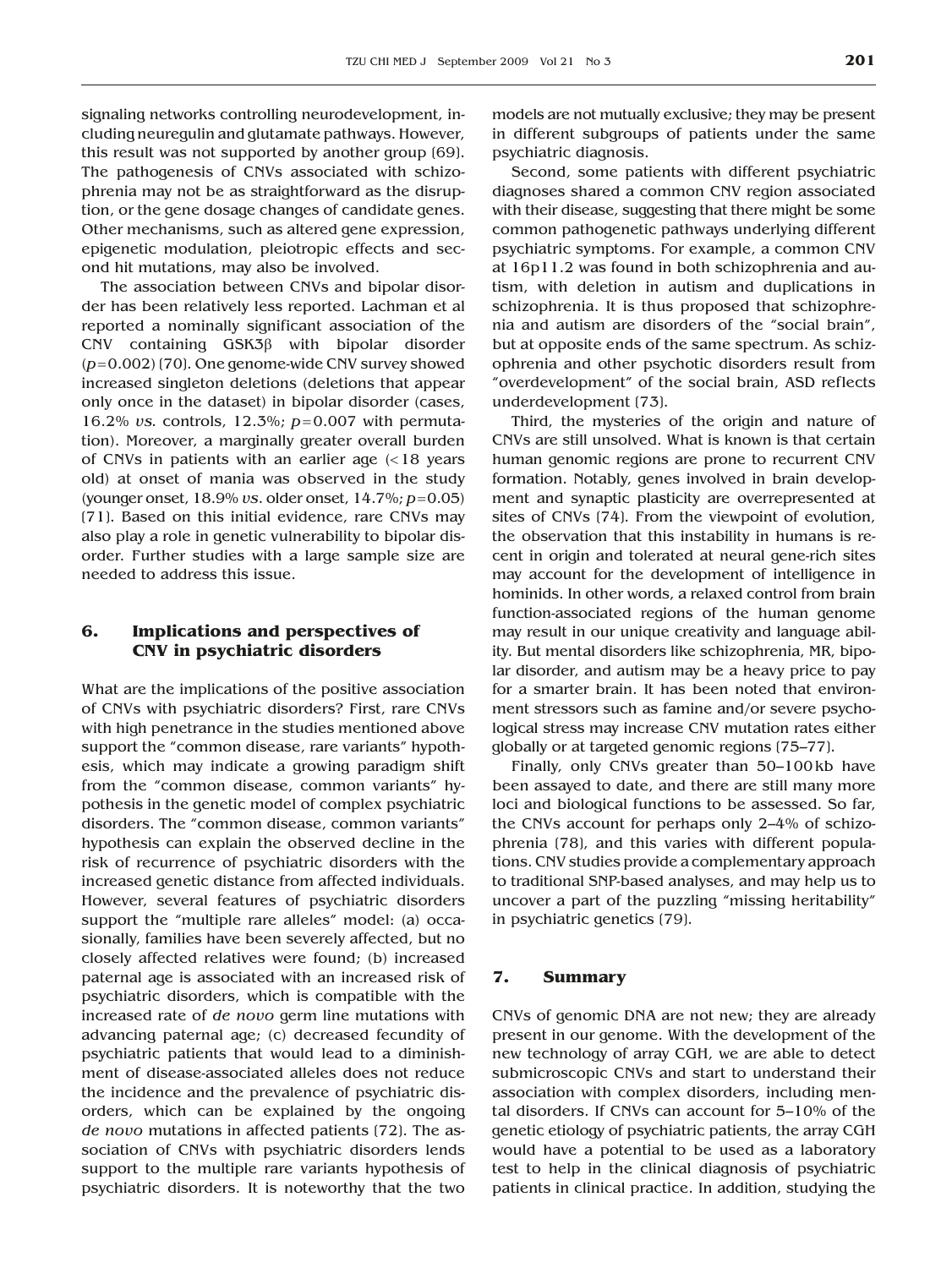signaling networks controlling neurodevelopment, including neuregulin and glutamate pathways. However, this result was not supported by another group [69]. The pathogenesis of CNVs associated with schizophrenia may not be as straightforward as the disruption, or the gene dosage changes of candidate genes. Other mechanisms, such as altered gene expression, epigenetic modulation, pleiotropic effects and second hit mutations, may also be involved.

The association between CNVs and bipolar disorder has been relatively less reported. Lachman et al reported a nominally significant association of the CNV containing GSK3β with bipolar disorder (*p*= 0.002) [70]. One genome-wide CNV survey showed increased singleton deletions (deletions that appear only once in the dataset) in bipolar disorder (cases, 16.2% *vs.* controls, 12.3%; *p*= 0.007 with permutation). Moreover, a marginally greater overall burden of CNVs in patients with an earlier age  $\ll 18$  years old) at onset of mania was observed in the study (younger onset, 18.9% *vs*. older onset, 14.7%; *p*= 0.05) [71]. Based on this initial evidence, rare CNVs may also play a role in genetic vulnerability to bipolar disorder. Further studies with a large sample size are needed to address this issue.

## **6. Implications and perspectives of CNV in psychiatric disorders**

What are the implications of the positive association of CNVs with psychiatric disorders? First, rare CNVs with high penetrance in the studies mentioned above support the "common disease, rare variants" hypothesis, which may indicate a growing paradigm shift from the "common disease, common variants" hypothesis in the genetic model of complex psychiatric disorders. The "common disease, common variants" hypothesis can explain the observed decline in the risk of recurrence of psychiatric disorders with the increased genetic distance from affected individuals. However, several features of psychiatric disorders support the "multiple rare alleles" model: (a) occasionally, families have been severely affected, but no closely affected relatives were found; (b) increased paternal age is associated with an increased risk of psychiatric disorders, which is compatible with the increased rate of *de novo* germ line mutations with advancing paternal age; (c) decreased fecundity of psychiatric patients that would lead to a diminishment of disease-associated alleles does not reduce the incidence and the prevalence of psychiatric disorders, which can be explained by the ongoing *de novo* mutations in affected patients [72]. The association of CNVs with psychiatric disorders lends support to the multiple rare variants hypothesis of psychiatric disorders. It is noteworthy that the two

models are not mutually exclusive; they may be present in different subgroups of patients under the same psychiatric diagnosis.

Second, some patients with different psychiatric diagnoses shared a common CNV region associated with their disease, suggesting that there might be some common pathogenetic pathways underlying different psychiatric symptoms. For example, a common CNV at 16p11.2 was found in both schizophrenia and autism, with deletion in autism and duplications in schizophrenia. It is thus proposed that schizophrenia and autism are disorders of the "social brain", but at opposite ends of the same spectrum. As schizophrenia and other psychotic disorders result from "overdevelopment" of the social brain, ASD reflects underdevelopment [73].

Third, the mysteries of the origin and nature of CNVs are still unsolved. What is known is that certain human genomic regions are prone to recurrent CNV formation. Notably, genes involved in brain development and synaptic plasticity are overrepresented at sites of CNVs [74]. From the viewpoint of evolution, the observation that this instability in humans is recent in origin and tolerated at neural gene-rich sites may account for the development of intelligence in hominids. In other words, a relaxed control from brain function-associated regions of the human genome may result in our unique creativity and language ability. But mental disorders like schizophrenia, MR, bipolar disorder, and autism may be a heavy price to pay for a smarter brain. It has been noted that environment stressors such as famine and/or severe psychological stress may increase CNV mutation rates either globally or at targeted genomic regions [75–77].

Finally, only CNVs greater than 50–100 kb have been assayed to date, and there are still many more loci and biological functions to be assessed. So far, the CNVs account for perhaps only 2–4% of schizophrenia [78], and this varies with different populations. CNV studies provide a complementary approach to traditional SNP-based analyses, and may help us to uncover a part of the puzzling "missing heritability" in psychiatric genetics [79].

#### **7. Summary**

CNVs of genomic DNA are not new; they are already present in our genome. With the development of the new technology of array CGH, we are able to detect submicroscopic CNVs and start to understand their association with complex disorders, including mental disorders. If CNVs can account for 5–10% of the genetic etiology of psychiatric patients, the array CGH would have a potential to be used as a laboratory test to help in the clinical diagnosis of psychiatric patients in clinical practice. In addition, studying the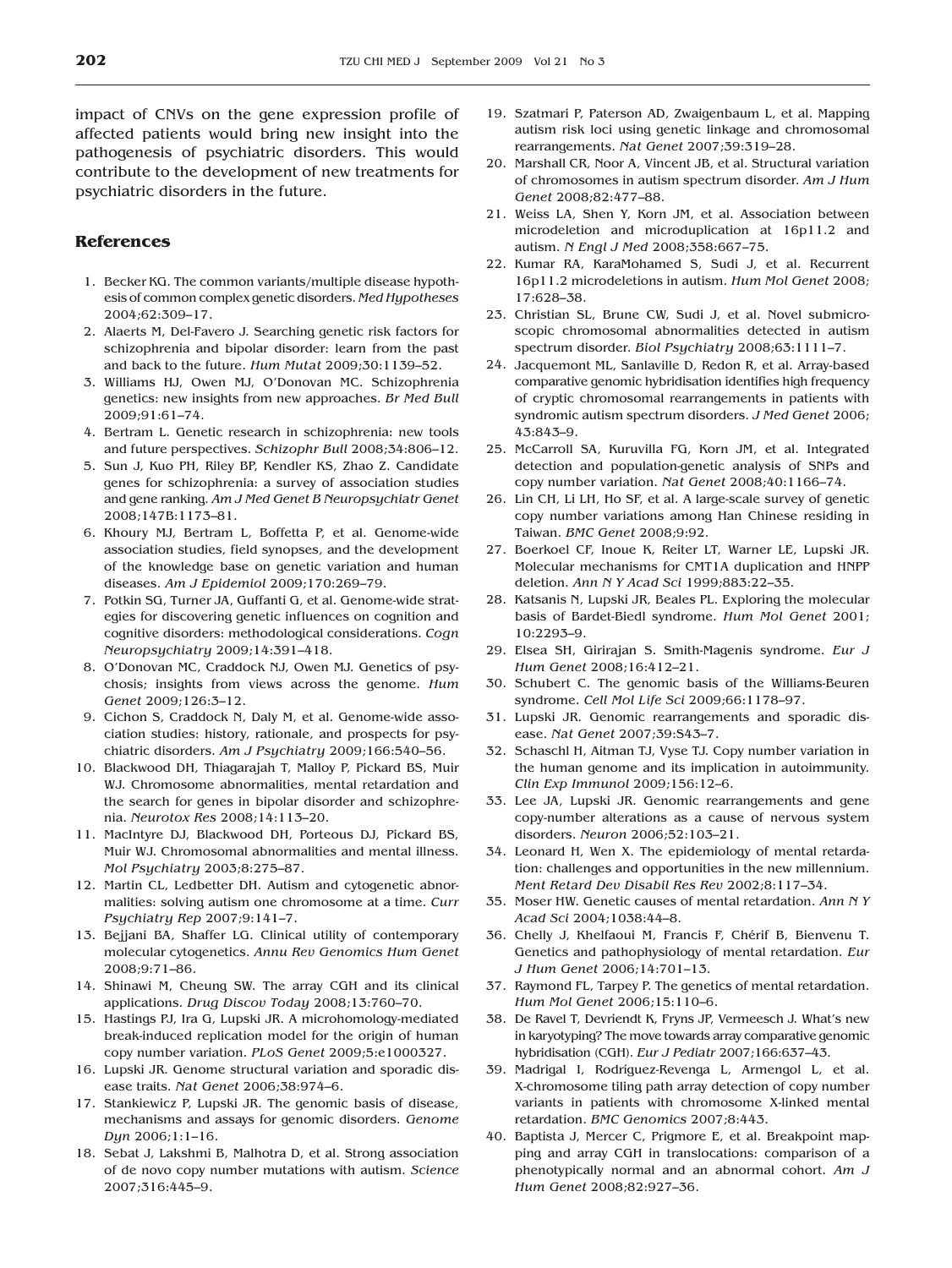impact of CNVs on the gene expression profile of affected patients would bring new insight into the pathogenesis of psychiatric disorders. This would contribute to the development of new treatments for psychiatric disorders in the future.

## **References**

- 1. Becker KG. The common variants/multiple disease hypothesis of common complex genetic disorders. *Med Hypotheses* 2004;62:309–17.
- 2. Alaerts M, Del-Favero J. Searching genetic risk factors for schizophrenia and bipolar disorder: learn from the past and back to the future. *Hum Mutat* 2009;30:1139–52.
- 3. Williams HJ, Owen MJ, O'Donovan MC. Schizophrenia genetics: new insights from new approaches. *Br Med Bull* 2009;91:61–74.
- 4. Bertram L. Genetic research in schizophrenia: new tools and future perspectives. *Schizophr Bull* 2008;34:806–12.
- 5. Sun J, Kuo PH, Riley BP, Kendler KS, Zhao Z. Candidate genes for schizophrenia: a survey of association studies and gene ranking. *Am J Med Genet B Neuropsychiatr Genet* 2008;147B:1173–81.
- 6. Khoury MJ, Bertram L, Boffetta P, et al. Genome-wide association studies, field synopses, and the development of the knowledge base on genetic variation and human diseases. *Am J Epidemiol* 2009;170:269–79.
- 7. Potkin SG, Turner JA, Guffanti G, et al. Genome-wide strategies for discovering genetic influences on cognition and cognitive disorders: methodological considerations. *Cogn Neuropsychiatry* 2009;14:391–418.
- 8. O'Donovan MC, Craddock NJ, Owen MJ. Genetics of psychosis; insights from views across the genome. *Hum Genet* 2009;126:3–12.
- 9. Cichon S, Craddock N, Daly M, et al. Genome-wide association studies: history, rationale, and prospects for psychiatric disorders. *Am J Psychiatry* 2009;166:540–56.
- 10. Blackwood DH, Thiagarajah T, Malloy P, Pickard BS, Muir WJ. Chromosome abnormalities, mental retardation and the search for genes in bipolar disorder and schizophrenia. *Neurotox Res* 2008;14:113–20.
- 11. MacIntyre DJ, Blackwood DH, Porteous DJ, Pickard BS, Muir WJ. Chromosomal abnormalities and mental illness. *Mol Psychiatry* 2003;8:275–87.
- 12. Martin CL, Ledbetter DH. Autism and cytogenetic abnormalities: solving autism one chromosome at a time. *Curr Psychiatry Rep* 2007;9:141–7.
- 13. Bejjani BA, Shaffer LG. Clinical utility of contemporary molecular cytogenetics. *Annu Rev Genomics Hum Genet* 2008;9:71–86.
- 14. Shinawi M, Cheung SW. The array CGH and its clinical applications. *Drug Discov Today* 2008;13:760–70.
- 15. Hastings PJ, Ira G, Lupski JR. A microhomology-mediated break-induced replication model for the origin of human copy number variation. *PLoS Genet* 2009;5:e1000327.
- 16. Lupski JR. Genome structural variation and sporadic disease traits. *Nat Genet* 2006;38:974–6.
- 17. Stankiewicz P, Lupski JR. The genomic basis of disease, mechanisms and assays for genomic disorders. *Genome Dyn* 2006;1:1–16.
- 18. Sebat J, Lakshmi B, Malhotra D, et al. Strong association of de novo copy number mutations with autism. *Science* 2007;316:445–9.
- 19. Szatmari P, Paterson AD, Zwaigenbaum L, et al. Mapping autism risk loci using genetic linkage and chromosomal rearrangements. *Nat Genet* 2007;39:319–28.
- 20. Marshall CR, Noor A, Vincent JB, et al. Structural variation of chromosomes in autism spectrum disorder. *Am J Hum Genet* 2008;82:477–88.
- 21. Weiss LA, Shen Y, Korn JM, et al. Association between microdeletion and microduplication at 16p11.2 and autism. *N Engl J Med* 2008;358:667–75.
- 22. Kumar RA, KaraMohamed S, Sudi J, et al. Recurrent 16p11.2 microdeletions in autism. *Hum Mol Genet* 2008; 17:628–38.
- 23. Christian SL, Brune CW, Sudi J, et al. Novel submicroscopic chromosomal abnormalities detected in autism spectrum disorder. *Biol Psychiatry* 2008;63:1111–7.
- 24. Jacquemont ML, Sanlaville D, Redon R, et al. Array-based comparative genomic hybridisation identifies high frequency of cryptic chromosomal rearrangements in patients with syndromic autism spectrum disorders. *J Med Genet* 2006; 43:843–9.
- 25. McCarroll SA, Kuruvilla FG, Korn JM, et al. Integrated detection and population-genetic analysis of SNPs and copy number variation. *Nat Genet* 2008;40:1166–74.
- 26. Lin CH, Li LH, Ho SF, et al. A large-scale survey of genetic copy number variations among Han Chinese residing in Taiwan. *BMC Genet* 2008;9:92.
- 27. Boerkoel CF, Inoue K, Reiter LT, Warner LE, Lupski JR. Molecular mechanisms for CMT1A duplication and HNPP deletion. *Ann N Y Acad Sci* 1999;883:22–35.
- 28. Katsanis N, Lupski JR, Beales PL. Exploring the molecular basis of Bardet-Biedl syndrome. *Hum Mol Genet* 2001; 10:2293–9.
- 29. Elsea SH, Girirajan S. Smith-Magenis syndrome. *Eur J Hum Genet* 2008;16:412–21.
- 30. Schubert C. The genomic basis of the Williams-Beuren syndrome. *Cell Mol Life Sci* 2009;66:1178–97.
- 31. Lupski JR. Genomic rearrangements and sporadic disease. *Nat Genet* 2007;39:S43–7.
- 32. Schaschl H, Aitman TJ, Vyse TJ. Copy number variation in the human genome and its implication in autoimmunity. *Clin Exp Immunol* 2009;156:12–6.
- 33. Lee JA, Lupski JR. Genomic rearrangements and gene copy-number alterations as a cause of nervous system disorders. *Neuron* 2006;52:103–21.
- 34. Leonard H, Wen X. The epidemiology of mental retardation: challenges and opportunities in the new millennium. *Ment Retard Dev Disabil Res Rev* 2002;8:117–34.
- 35. Moser HW. Genetic causes of mental retardation. *Ann N Y Acad Sci* 2004;1038:44–8.
- 36. Chelly J, Khelfaoui M, Francis F, Chérif B, Bienvenu T. Genetics and pathophysiology of mental retardation. *Eur J Hum Genet* 2006;14:701–13.
- 37. Raymond FL, Tarpey P. The genetics of mental retardation. *Hum Mol Genet* 2006;15:110–6.
- 38. De Ravel T, Devriendt K, Fryns JP, Vermeesch J. What's new in karyotyping? The move towards array comparative genomic hybridisation (CGH). *Eur J Pediatr* 2007;166:637–43.
- 39. Madrigal I, Rodríguez-Revenga L, Armengol L, et al. X-chromosome tiling path array detection of copy number variants in patients with chromosome X-linked mental retardation. *BMC Genomics* 2007;8:443.
- 40. Baptista J, Mercer C, Prigmore E, et al. Breakpoint mapping and array CGH in translocations: comparison of a phenotypically normal and an abnormal cohort. *Am J Hum Genet* 2008;82:927–36.